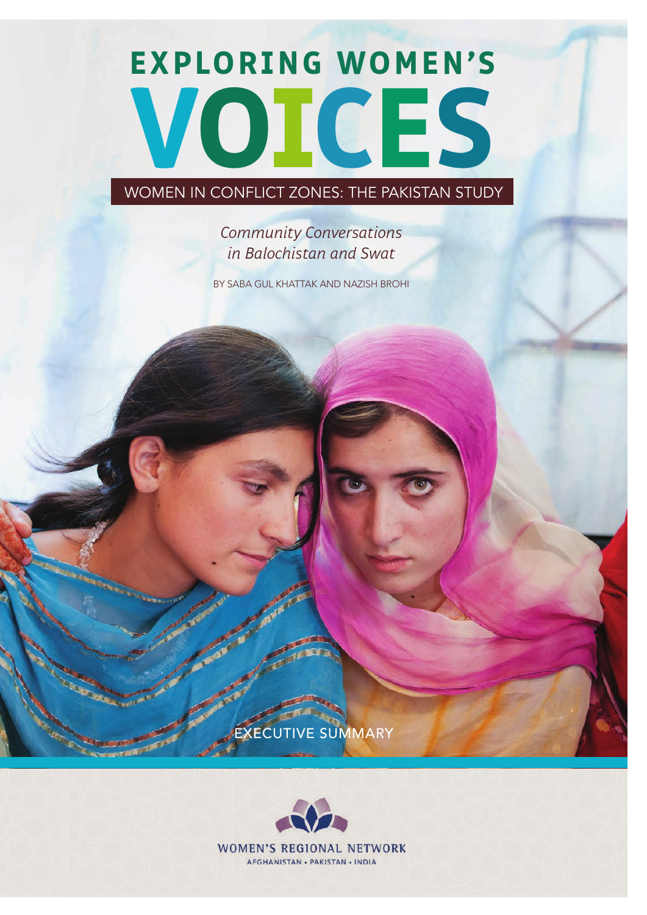# **Exploring Women's Voices**

WOMEN IN CONFLICT ZONES: THE PAKISTAN STUDY

# *Community Conversations in Balochistan and Swat*

By Saba Gul Khattak and Nazish Brohi

ECUTIVE SUMMARY

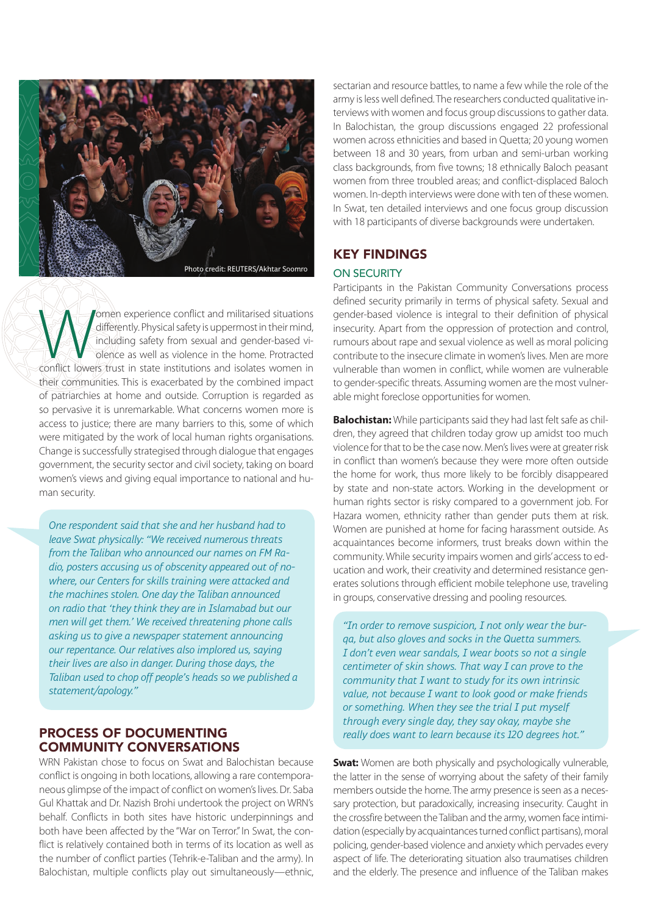

Women experience conflict and militarised situations<br>
differently. Physical safety is uppermost in their mind,<br>
including safety from sexual and gender-based vi-<br>
olence as well as violence in the home. Protracted<br>
conflic differently. Physical safety is uppermost in their mind, including safety from sexual and gender-based violence as well as violence in the home. Protracted their communities. This is exacerbated by the combined impact of patriarchies at home and outside. Corruption is regarded as so pervasive it is unremarkable. What concerns women more is access to justice; there are many barriers to this, some of which were mitigated by the work of local human rights organisations. Change is successfully strategised through dialogue that engages government, the security sector and civil society, taking on board women's views and giving equal importance to national and human security.

*One respondent said that she and her husband had to leave Swat physically: "We received numerous threats from the Taliban who announced our names on FM Radio, posters accusing us of obscenity appeared out of nowhere, our Centers for skills training were attacked and the machines stolen. One day the Taliban announced on radio that 'they think they are in Islamabad but our men will get them.' We received threatening phone calls asking us to give a newspaper statement announcing our repentance. Our relatives also implored us, saying their lives are also in danger. During those days, the Taliban used to chop off people's heads so we published a statement/apology."* 

# Process of Documenting Community Conversations

WRN Pakistan chose to focus on Swat and Balochistan because conflict is ongoing in both locations, allowing a rare contemporaneous glimpse of the impact of conflict on women's lives. Dr. Saba Gul Khattak and Dr. Nazish Brohi undertook the project on WRN's behalf. Conflicts in both sites have historic underpinnings and both have been affected by the "War on Terror." In Swat, the conflict is relatively contained both in terms of its location as well as the number of conflict parties (Tehrik-e-Taliban and the army). In Balochistan, multiple conflicts play out simultaneously—ethnic,

sectarian and resource battles, to name a few while the role of the army is less well defined. The researchers conducted qualitative interviews with women and focus group discussions to gather data. In Balochistan, the group discussions engaged 22 professional women across ethnicities and based in Quetta; 20 young women between 18 and 30 years, from urban and semi-urban working class backgrounds, from five towns; 18 ethnically Baloch peasant women from three troubled areas; and conflict-displaced Baloch women. In-depth interviews were done with ten of these women. In Swat, ten detailed interviews and one focus group discussion with 18 participants of diverse backgrounds were undertaken.

# Key findings

### ON SECURITY

Participants in the Pakistan Community Conversations process defined security primarily in terms of physical safety. Sexual and gender-based violence is integral to their definition of physical insecurity. Apart from the oppression of protection and control, rumours about rape and sexual violence as well as moral policing contribute to the insecure climate in women's lives. Men are more vulnerable than women in conflict, while women are vulnerable to gender-specific threats. Assuming women are the most vulnerable might foreclose opportunities for women.

**Balochistan:** While participants said they had last felt safe as children, they agreed that children today grow up amidst too much violence for that to be the case now. Men's lives were at greater risk in conflict than women's because they were more often outside the home for work, thus more likely to be forcibly disappeared by state and non-state actors. Working in the development or human rights sector is risky compared to a government job. For Hazara women, ethnicity rather than gender puts them at risk. Women are punished at home for facing harassment outside. As acquaintances become informers, trust breaks down within the community. While security impairs women and girls' access to education and work, their creativity and determined resistance generates solutions through efficient mobile telephone use, traveling in groups, conservative dressing and pooling resources.

*"In order to remove suspicion, I not only wear the burqa, but also gloves and socks in the Quetta summers. I don't even wear sandals, I wear boots so not a single centimeter of skin shows. That way I can prove to the community that I want to study for its own intrinsic value, not because I want to look good or make friends or something. When they see the trial I put myself through every single day, they say okay, maybe she really does want to learn because its 120 degrees hot."*

**Swat:** Women are both physically and psychologically vulnerable, the latter in the sense of worrying about the safety of their family members outside the home. The army presence is seen as a necessary protection, but paradoxically, increasing insecurity. Caught in the crossfire between the Taliban and the army, women face intimidation (especially by acquaintances turned conflict partisans), moral policing, gender-based violence and anxiety which pervades every aspect of life. The deteriorating situation also traumatises children and the elderly. The presence and influence of the Taliban makes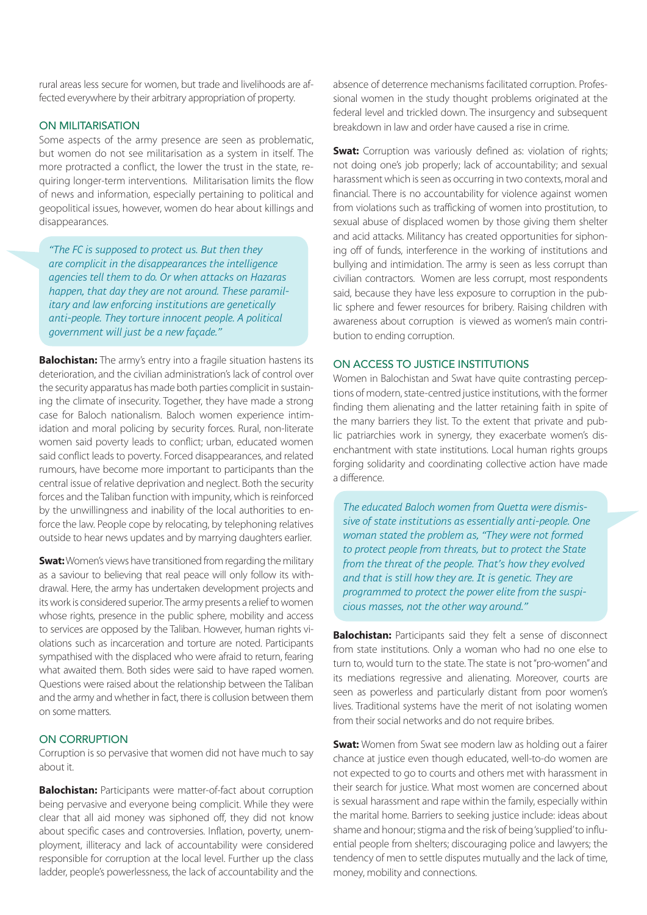rural areas less secure for women, but trade and livelihoods are affected everywhere by their arbitrary appropriation of property.

#### On militarisation

Some aspects of the army presence are seen as problematic, but women do not see militarisation as a system in itself. The more protracted a conflict, the lower the trust in the state, requiring longer-term interventions. Militarisation limits the flow of news and information, especially pertaining to political and geopolitical issues, however, women do hear about killings and disappearances.

*"The FC is supposed to protect us. But then they are complicit in the disappearances the intelligence agencies tell them to do. Or when attacks on Hazaras happen, that day they are not around. These paramilitary and law enforcing institutions are genetically anti-people. They torture innocent people. A political government will just be a new façade."*

**Balochistan:** The army's entry into a fragile situation hastens its deterioration, and the civilian administration's lack of control over the security apparatus has made both parties complicit in sustaining the climate of insecurity. Together, they have made a strong case for Baloch nationalism. Baloch women experience intimidation and moral policing by security forces. Rural, non-literate women said poverty leads to conflict; urban, educated women said conflict leads to poverty. Forced disappearances, and related rumours, have become more important to participants than the central issue of relative deprivation and neglect. Both the security forces and the Taliban function with impunity, which is reinforced by the unwillingness and inability of the local authorities to enforce the law. People cope by relocating, by telephoning relatives outside to hear news updates and by marrying daughters earlier.

**Swat:** Women's views have transitioned from regarding the military as a saviour to believing that real peace will only follow its withdrawal. Here, the army has undertaken development projects and its work is considered superior. The army presents a relief to women whose rights, presence in the public sphere, mobility and access to services are opposed by the Taliban. However, human rights violations such as incarceration and torture are noted. Participants sympathised with the displaced who were afraid to return, fearing what awaited them. Both sides were said to have raped women. Questions were raised about the relationship between the Taliban and the army and whether in fact, there is collusion between them on some matters.

#### On corruption

Corruption is so pervasive that women did not have much to say about it.

**Balochistan:** Participants were matter-of-fact about corruption being pervasive and everyone being complicit. While they were clear that all aid money was siphoned off, they did not know about specific cases and controversies. Inflation, poverty, unemployment, illiteracy and lack of accountability were considered responsible for corruption at the local level. Further up the class ladder, people's powerlessness, the lack of accountability and the

absence of deterrence mechanisms facilitated corruption. Professional women in the study thought problems originated at the federal level and trickled down. The insurgency and subsequent breakdown in law and order have caused a rise in crime.

**Swat:** Corruption was variously defined as: violation of rights; not doing one's job properly; lack of accountability; and sexual harassment which is seen as occurring in two contexts, moral and financial. There is no accountability for violence against women from violations such as trafficking of women into prostitution, to sexual abuse of displaced women by those giving them shelter and acid attacks. Militancy has created opportunities for siphoning off of funds, interference in the working of institutions and bullying and intimidation. The army is seen as less corrupt than civilian contractors. Women are less corrupt, most respondents said, because they have less exposure to corruption in the public sphere and fewer resources for bribery. Raising children with awareness about corruption is viewed as women's main contribution to ending corruption.

#### On access to justice institutions

Women in Balochistan and Swat have quite contrasting perceptions of modern, state-centred justice institutions, with the former finding them alienating and the latter retaining faith in spite of the many barriers they list. To the extent that private and public patriarchies work in synergy, they exacerbate women's disenchantment with state institutions. Local human rights groups forging solidarity and coordinating collective action have made a difference.

*The educated Baloch women from Quetta were dismissive of state institutions as essentially anti-people. One woman stated the problem as, "They were not formed to protect people from threats, but to protect the State from the threat of the people. That's how they evolved and that is still how they are. It is genetic. They are programmed to protect the power elite from the suspicious masses, not the other way around."* 

**Balochistan:** Participants said they felt a sense of disconnect from state institutions. Only a woman who had no one else to turn to, would turn to the state. The state is not "pro-women" and its mediations regressive and alienating. Moreover, courts are seen as powerless and particularly distant from poor women's lives. Traditional systems have the merit of not isolating women from their social networks and do not require bribes.

**Swat:** Women from Swat see modern law as holding out a fairer chance at justice even though educated, well-to-do women are not expected to go to courts and others met with harassment in their search for justice. What most women are concerned about is sexual harassment and rape within the family, especially within the marital home. Barriers to seeking justice include: ideas about shame and honour; stigma and the risk of being 'supplied' to influential people from shelters; discouraging police and lawyers; the tendency of men to settle disputes mutually and the lack of time, money, mobility and connections.